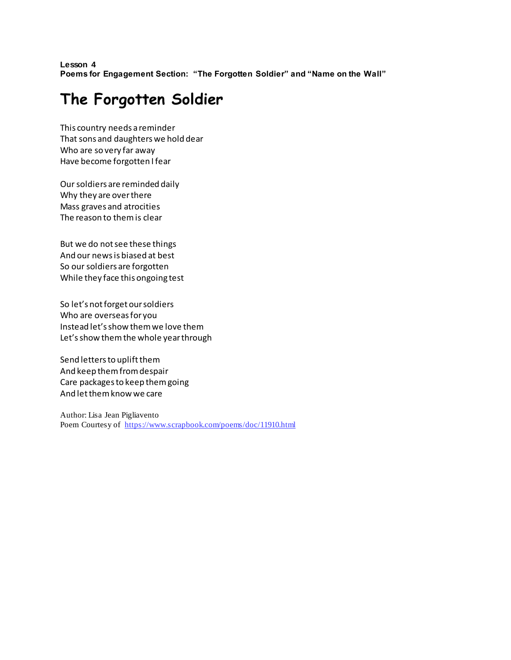**Lesson 4 Poems for Engagement Section: "The Forgotten Soldier" and "Name on the Wall"**

## **The Forgotten Soldier**

This country needs a reminder That sons and daughters we hold dear Who are so very far away Have become forgotten I fear

Our soldiers are reminded daily Why they are over there Mass graves and atrocities The reason to them is clear

But we do not see these things And our news is biased at best So our soldiers are forgotten While they face this ongoing test

So let's not forget our soldiers Who are overseas for you Instead let's show them we love them Let's show them the whole year through

Send letters to uplift them And keep them from despair Care packages to keep them going And let them know we care

Author: Lisa Jean Pigliavento Poem Courtesy of <https://www.scrapbook.com/poems/doc/11910.html>